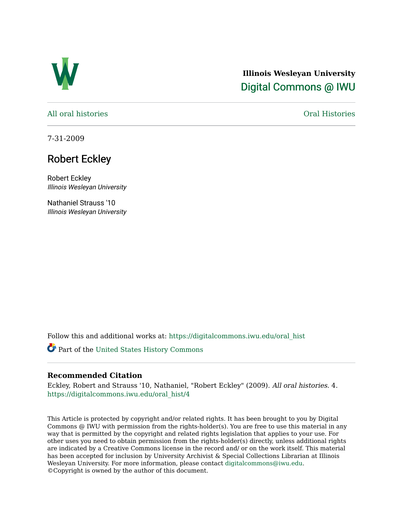

## **Illinois Wesleyan University**  [Digital Commons @ IWU](https://digitalcommons.iwu.edu/)

[All oral histories](https://digitalcommons.iwu.edu/oral_hist) [Oral Histories](https://digitalcommons.iwu.edu/oralhistory) 

7-31-2009

## Robert Eckley

Robert Eckley Illinois Wesleyan University

Nathaniel Strauss '10 Illinois Wesleyan University

Follow this and additional works at: [https://digitalcommons.iwu.edu/oral\\_hist](https://digitalcommons.iwu.edu/oral_hist?utm_source=digitalcommons.iwu.edu%2Foral_hist%2F4&utm_medium=PDF&utm_campaign=PDFCoverPages) 

Part of the [United States History Commons](http://network.bepress.com/hgg/discipline/495?utm_source=digitalcommons.iwu.edu%2Foral_hist%2F4&utm_medium=PDF&utm_campaign=PDFCoverPages) 

## **Recommended Citation**

Eckley, Robert and Strauss '10, Nathaniel, "Robert Eckley" (2009). All oral histories. 4. [https://digitalcommons.iwu.edu/oral\\_hist/4](https://digitalcommons.iwu.edu/oral_hist/4?utm_source=digitalcommons.iwu.edu%2Foral_hist%2F4&utm_medium=PDF&utm_campaign=PDFCoverPages) 

This Article is protected by copyright and/or related rights. It has been brought to you by Digital Commons @ IWU with permission from the rights-holder(s). You are free to use this material in any way that is permitted by the copyright and related rights legislation that applies to your use. For other uses you need to obtain permission from the rights-holder(s) directly, unless additional rights are indicated by a Creative Commons license in the record and/ or on the work itself. This material has been accepted for inclusion by University Archivist & Special Collections Librarian at Illinois Wesleyan University. For more information, please contact [digitalcommons@iwu.edu.](mailto:digitalcommons@iwu.edu) ©Copyright is owned by the author of this document.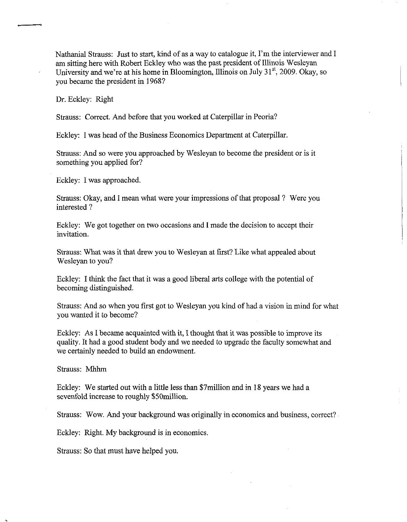Nathanial Strauss: Just to start, kind of as a way to catalogue it, I'm the interviewer and I am sitting here with Robert Eckley who was the past president of Illinois Wesleyan University and we're at his home in Bloomington, Illinois on July 31<sup>st</sup>, 2009. Okay, so you became the president in 1968?

Dr. Eckley: Right

Strauss: Correct. And before that you worked at Caterpillar in Peoria?

Eckley: I was head of the Business Economics Department at Caterpillar.

Strauss: And so were you approached by Wesleyan to become the president or is it something you applied for?

Eckley: I was approached.

Strauss: Okay, and I mean what were your impressions of that proposal ? Were you interested ?

Eckley: We got together on two occasions and I made the decision to accept their invitation.

Strauss: What was it that drew you to Wesleyan at first? Like what appealed about Wesleyan to you?

Eckley: I think the fact that it was a good liberal arts college with the potential of becoming distinguished.

Strauss: And so when you first got to Wesleyan you kind of had a vision in mind for what you wanted it to become?

Eckley: As I became acquainted with it, I thought that it was possible to improve its quality. It had a good student body and we needed to upgrade the faculty somewhat and we certainly needed to build an endowment.

Strauss: Mhhm

Eckley: We started out with a little less than \$7million and in 18 years we had a sevenfold increase to roughly \$50million.

Strauss: Wow. And your background was originally in economics and business, correct?

Eckley: Right. My background is in economics.

Strauss: So that must have helped you.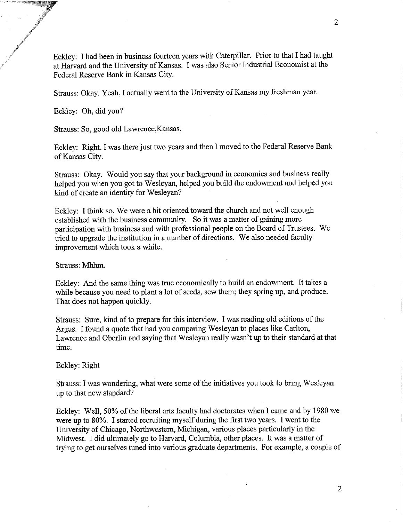Eckley: I had been in business fourteen years with Caterpillar. Prior to that I had taught at Harvard and the University of Kansas. I was also Senior Industrial Economist at the Federal Reserve Bank in Kansas City.

Strauss: Okay. Yeah, I actually went to the University of Kansas my freshman year.

Eckley: Oh, did you?

Strauss: So, good old Lawrence,Kansas.

Eckley: Right. I was there just two years and then I moved to the Federal Reserve Bank of Kansas City.

Strauss: Okay. Would you say that your background in economics and business really helped you when you got to Wesleyan, helped you build the endowment and helped you kind of create an identity for Wesleyan?

Eckley: I think so. We were a bit oriented toward the church and not well enough established with the business community. So it was a matter of gaining more participation with business and with professional people on the Board of Trustees. We tried to upgrade the institution in a number of directions. We also needed faculty improvement which took a while.

Strauss: Mhhm.

Eckley: And the same thing was true economically to build an endowment. It takes a while because you need to plant a lot of seeds, sew them; they spring up, and produce. That does not happen quickly.

Strauss: Sure, kind of to prepare for this interview. I was reading old editions of the Argus. I found a quote that had you comparing Wesleyan to places like Carlton, Lawrence and Oberlin and saying that Wesleyan really wasn't up to their standard at that time.

Eckley: Right

Strauss: I was wondering, what were some of the initiatives you took to bring Wesleyan up to that new standard?

Eckley: Well, 50% of the liberal arts faculty had doctorates when I came and by 1980 we were up to 80%. I started recruiting myself during the first two years. I went to the University of Chicago, Northwestern, Michigan, various places particularly in the Midwest. I did ultimately go to Harvard, Columbia, other places. It was a matter of trying to get ourselves tuned into various graduate departments. For example, a couple of

 $\overline{2}$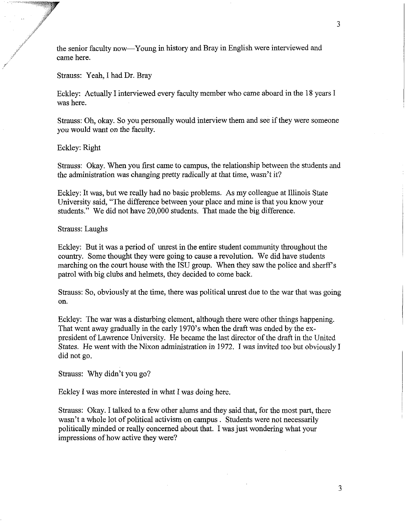the senior faculty now-Young in history and Bray in English were interviewed and came here.

## Strauss: Yeah, I had Dr. Bray

Eckley: Actually I interviewed every faculty member who came aboard in the 18 years I was here.

Strauss: Oh, okay. So you personally would interview them and see if they were someone you would want on the faculty.

Eckley: Right

Strauss: Okay. When you first came to campus, the relationship between the students and the administration was changing pretty radically at that time, wasn't it?

Eckley: It was, but we really had no basic problems. As my colleague at Illinois State University said, "The difference between your place and mine is that you know your students." We did not have 20,000 students. That made the big difference.

Strauss: Laughs

Eckley: But it was a period of unrest in the entire student community throughout the country. Some thought they were going to cause a revolution. We did have students marching on the court house with the ISU group. When they saw the police and sherff s patrol with big clubs and helmets, they decided to come back.

Strauss: So, obviously at the time, there was political unrest due to the war that was going on.

Eckley: The war was a disturbing element, although there were other things happening. That went away gradually in the early 1970's when the draft was ended by the expresident of Lawrence University. He became the last director of the draft in the United States. He went with the Nixon administration in 1972. I was invited too but obviously I did not go.

Strauss: Why didn't you go?

Eckley I was more interested in what I was doing here.

Strauss: Okay. I talked to a few other alums and they said that, for the most part, there wasn't a whole lot of political activism on campus . Students were not necessarily politically minded or really concerned about that. I was just wondering what your impressions of how active they were?

3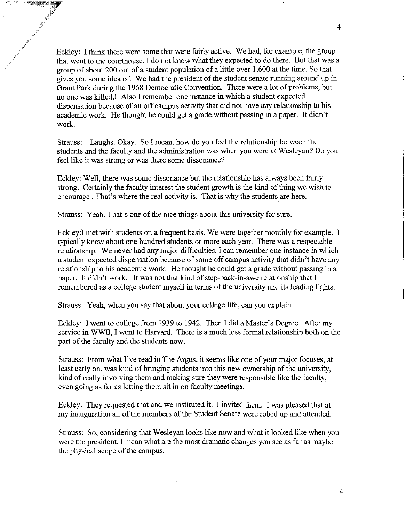/ Eckley: I think there were some that were fairly active. We had, for example, the group that went to the courthouse. I do not know what they expected to do there. But that was a group of about 200 out of a student population of a little over 1,600 at the time. So that gives you some idea of. We had the president of the student senate running around up in Grant Park during the 1968 Democratic Convention. There were a lot of problems, but no one was killed.! Also I remember one instance in which a student expected dispensation because of an off campus activity that did not have any relationship to his academic work. He thought he could get a grade without passing in a paper. It didn't work.

#> 9\*

\*,'

Strauss: Laughs. Okay. So I mean, how do you feel the relationship between the students and the faculty and the administration was when you were at Wesleyan? Do you feel like it was strong or was there some dissonance?

Eckley: Well, there was some dissonance but the relationship has always been fairly strong. Certainly the faculty interest the student growth is the kind of thing we wish to encourage . That's where the real activity is. That is why the students are here.

Strauss: Yeah. That's one of the nice things about this university for sure.

Eckley:I met with students on a frequent basis. We were together monthly for example. I typically knew about one hundred students or more each year. There was a respectable relationship. We never had any major difficulties. I can remember one instance in which a student expected dispensation because of some off campus activity that didn't have any relationship to his academic work. He thought he could get a grade without passing in a paper. It didn't work. It was not that kind of step-back-in-awe relationship that I remembered as a college student myself in terms of the university and its leading lights.

Strauss: Yeah, when you say that about your college life, can you explain.

Eckley: I went to college from 1939 to 1942. Then I did a Master's Degree. After my service in WWII, I went to Harvard. There is a much less formal relationship both on the part of the faculty and the students now.

Strauss: From what I've read in The Argus, it seems like one of your major focuses, at least early on, was kind of bringing students into this new ownership of the university, kid of really involving them and making sure they were responsible like the faculty, even going as far as letting them sit in on faculty meetings.

Eckley: They requested that and we instituted it. I invited them. I was pleased that at my inauguration all of the members of the Student Senate were robed up and attended.

Strauss: So, considering that Wesleyan looks like now and what it looked like when you were the president, I mean what are the most dramatic changes you see as far as maybe the physical scope of the campus.

 $\overline{4}$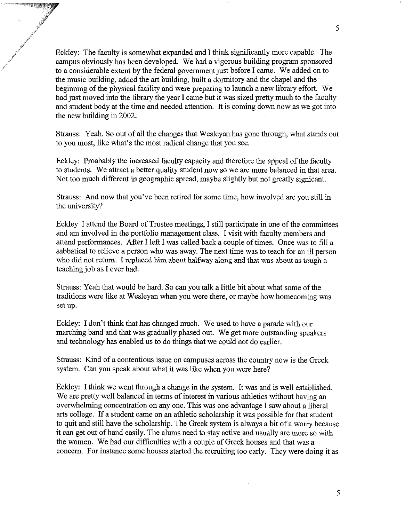Eckley: The faculty is somewhat expanded and I think significantly more capable. The campus obviously has been developed. We had a vigorous building program sponsored to a considerable extent by the federal government just before I came. We added on to the music building, added the art building, built a dormitory and the chapel and the beginning of the physical facility and were preparing to launch a new library effort. We had just moved into the library the year I came but it was sized pretty much to the faculty and student body at the time and needed attention. It is coming down now as we got into the new building in 2002.

,/'

**J'** 

Strauss: Yeah. So out of all the changes that Wesleyan has gone through, what stands out to you most, like what's the most radical change that you see.

Eckley: Proabably the increased faculty capacity and therefore the appeal of the faculty to students. We attract a better quality student now so we are more balanced in that area. Not too much different in geographic spread, maybe slightly but not greatly signicant.

Strauss: And now that you've been retired for some time, how involved are you still in the university?

Eckley I attend the Board of Trustee meetings, I still participate in one of the committees and am involved in the portfolio management class. I visit with faculty members and attend performances. After I left I was called back a couple of times. Once was to fill a sabbatical to relieve a person who was away. The next time was to teach for an ill person who did not return. I replaced him about halfway along and that was about as tough a teaching job as I ever had.

Strauss: Yeah that would be hard. So can you talk a little bit about what some of the traditions were like at Wesleyan when you were there, or maybe how homecoming was set up.

Eckley: I don't think that has changed much. We used to have a parade with our marching band and that was gradually phased out. We get more outstanding speakers and technology has enabled us to do things that we could not do earlier.

Strauss: Kind of a contentious issue on campuses across the country now is the Greek system. Can you speak about what it was like when you were here?

Eckley: I **think** we went through a change in the system. It was and is well established. We are pretty well balanced in terms of interest in various athletics without having an overwhelming concentration on any one. This was one advantage I saw about a liberal arts college. If a student came on an athletic scholarship it was possible for that student to quit and still have the scholarship. The Greek system is always a bit of a wony because it can get out of hand easily. The alums need to stay active and usually are more so with the women. We had our difficulties with a couple of Greek houses and that was a concern. For instance some houses started the recruiting too early. They were doing it as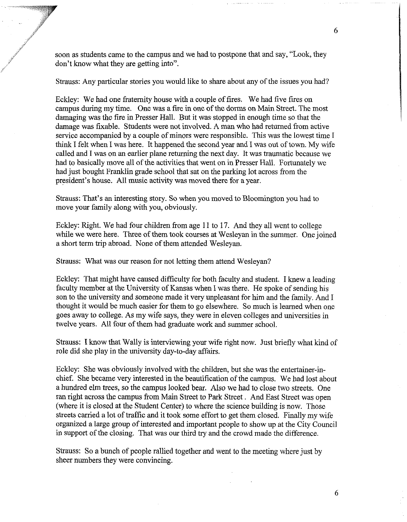soon as students came to the campus and we had to postpone that and say, "Look, they don't know what they are getting into".

,'

Strauss: Any particular stories you would like to share about any of the issues you had?

Eckley: We had one fraternity house with a couple of fires. We had five fires on campus during my time. One was a fire in one of the dorms on Main Street. The most damaging was the fire in Presser Hall. But it was stopped in enough time so that the damage was fixable. Students were not involved. A man who had returned from active service accompanied by a couple of minors were responsible. This was the lowest time I think I felt when I was here. It happened the second year and I was out of town. My wife called and I was on an earlier plane returning the next day. It was traumatic because we had to basically move all of the activities that went on in Presser Hall. Fortunately we had just bought Franklin grade school that sat on the parking lot across from the president's house. All music activity was moved there for a year.

Strauss: That's an interesting story. So when you moved to Bloomington you had to move your family along with you, obviously.

Eckley: Right. We had four children from age 11 to 17. And they all went to college while we were here. Three of them took courses at Wesleyan in the summer. One joined a short term trip abroad. None of them attended Wesleyan.

Strauss: What was our reason for not letting them attend Wesleyan?

Eckley: That might have caused difficulty for both faculty and student. I knew a leading faculty member at the University of Kansas when I was there. He spoke of sending his son to the university and someone made it very unpleasant for him and the family. And I thought it would be much easier for them to go elsewhere. So much is learned when one goes away to college. As my wife says, they were in eleven colleges and universities in twelve years. All four of them had graduate work and summer school.

Strauss: I know that Wally is interviewing your wife right now. Just briefly what kind of role did she play in the university day-to-day affairs.

Eckley: She was obviously involved with the children, but she was the entertainer-inchief. She became very interested in the beautification of the campus. We had lost about a hundred elm trees, so the campus looked bear. Also we had to close two streets. One ran right across the campus from Main Street to Park Street . And East Street was open (where it is closed at the Student Center) to where the science building is now. Those streets carried a lot of traffic and it took some effort to get them closed. Finally my wife organized a large group of interested and important people to show up at the City Council in support of the closing. That was our third try and the crowd made the difference.

Strauss: So a bunch of people rallied together and went to the meeting where just by sheer numbers they were convincing.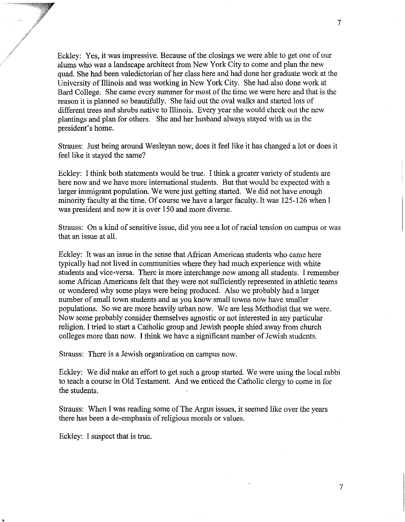Eckley: Yes, it was impressive. Because of the closings we were able to get one of our alums who was a landscape architect from New York City to come and plan the new quad. She had been valedictorian of her class here and had done her graduate work at the University of Illinois and was working in New York City. She had also done work at Bard College. She came every summer for most of the time we were here and that is the reason it is planned so beautifully. She laid out the oval walks and started lots of different trees and shrubs native to Illinois. Every year she would check out the new plantings and plan for others. She and her husband always stayed with us in the president's home.

Strauss: Just being around Wesleyan now, does it feel like it has changed a lot or does it feel like it stayed the same?

Eckley: I think both statements would be true. I think a greater variety of students are here now and we have more international students. But that would be expected with a larger immigrant population. We were just getting started. We did not have enough minority faculty at the time. Of course we have a larger faculty. It was 125-126 when I was president and now it is over 150 and more diverse.

Strauss: On a kind of sensitive issue, did you see a lot of racial tension on campus or was that an issue at all.

Eckley: It was an issue in the sense that African American students who came here typically had not lived in communities where they had much experience with white students and vice-versa. There is more interchange now among all students. I remember some Afican Americans felt that they were not sufficiently represented in athletic teams or wondered why some plays were being produced. Also we probably had a larger number of small town students and as you know small towns now have smaller populations. So we are more heavily urban now. We are less Methodist that we were. Now some probably consider themselves agnostic or not interested in any particular religion. I tried to start a Catholic group and Jewish people shied away from church colleges more than now. I think we have a significant number of Jewish students.

Strauss: There is a Jewish organization on campus now.

Eckley: We did make an effort to get such a group started. We were using the local rabbi to teach a course in Old Testament. And we enticed the Catholic clergy to come in for the students.

Strauss: When I was reading some of The Argus issues, it seemed like over the years there has been a de-emphasis of religious morals or values.

Eckley: I suspect that is true.